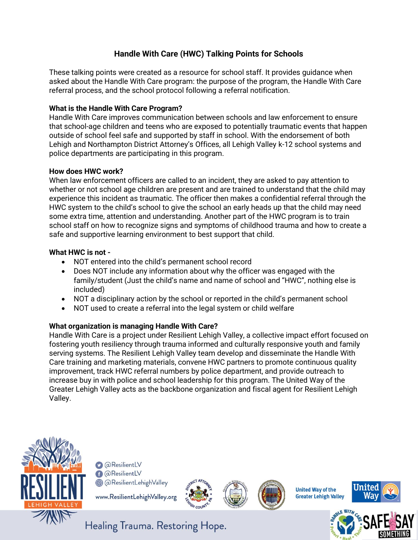# **Handle With Care (HWC) Talking Points for Schools**

These talking points were created as a resource for school staff. It provides guidance when asked about the Handle With Care program: the purpose of the program, the Handle With Care referral process, and the school protocol following a referral notification.

### **What is the Handle With Care Program?**

Handle With Care improves communication between schools and law enforcement to ensure that school-age children and teens who are exposed to potentially traumatic events that happen outside of school feel safe and supported by staff in school. With the endorsement of both Lehigh and Northampton District Attorney's Offices, all Lehigh Valley k-12 school systems and police departments are participating in this program.

#### **How does HWC work?**

When law enforcement officers are called to an incident, they are asked to pay attention to whether or not school age children are present and are trained to understand that the child may experience this incident as traumatic. The officer then makes a confidential referral through the HWC system to the child's school to give the school an early heads up that the child may need some extra time, attention and understanding. Another part of the HWC program is to train school staff on how to recognize signs and symptoms of childhood trauma and how to create a safe and supportive learning environment to best support that child.

#### **What HWC is not -**

- NOT entered into the child's permanent school record
- Does NOT include any information about why the officer was engaged with the family/student (Just the child's name and name of school and "HWC", nothing else is included)
- NOT a disciplinary action by the school or reported in the child's permanent school
- NOT used to create a referral into the legal system or child welfare

## **What organization is managing Handle With Care?**

Handle With Care is a project under Resilient Lehigh Valley, a collective impact effort focused on fostering youth resiliency through trauma informed and culturally responsive youth and family serving systems. The Resilient Lehigh Valley team develop and disseminate the Handle With Care training and marketing materials, convene HWC partners to promote continuous quality improvement, track HWC referral numbers by police department, and provide outreach to increase buy in with police and school leadership for this program. The United Way of the Greater Lehigh Valley acts as the backbone organization and fiscal agent for Resilient Lehigh Valley.



aResilientLV **A** @ResilientLV @ @ResilientLehighValley

www.ResilientLehighValley.org









Healing Trauma. Restoring Hope.